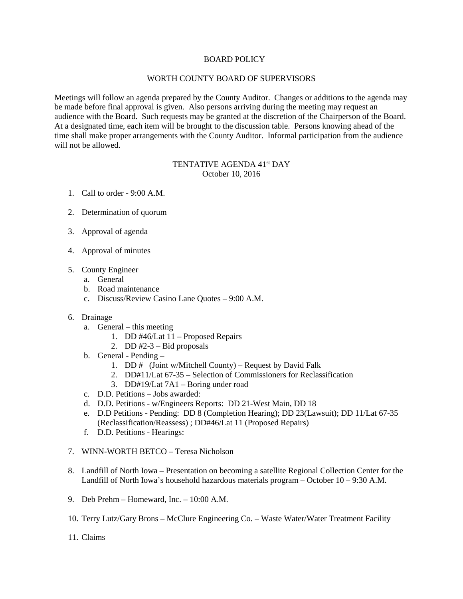## BOARD POLICY

## WORTH COUNTY BOARD OF SUPERVISORS

Meetings will follow an agenda prepared by the County Auditor. Changes or additions to the agenda may be made before final approval is given. Also persons arriving during the meeting may request an audience with the Board. Such requests may be granted at the discretion of the Chairperson of the Board. At a designated time, each item will be brought to the discussion table. Persons knowing ahead of the time shall make proper arrangements with the County Auditor. Informal participation from the audience will not be allowed.

## TENTATIVE AGENDA 41<sup>st</sup> DAY October 10, 2016

- 1. Call to order 9:00 A.M.
- 2. Determination of quorum
- 3. Approval of agenda
- 4. Approval of minutes
- 5. County Engineer
	- a. General
	- b. Road maintenance
	- c. Discuss/Review Casino Lane Quotes 9:00 A.M.
- 6. Drainage
	- a. General this meeting
		- 1. DD #46/Lat 11 Proposed Repairs
		- 2. DD  $#2-3$  Bid proposals
	- b. General Pending
		- 1. DD # (Joint w/Mitchell County) Request by David Falk
		- 2. DD#11/Lat 67-35 Selection of Commissioners for Reclassification
		- 3. DD#19/Lat 7A1 Boring under road
	- c. D.D. Petitions Jobs awarded:
	- d. D.D. Petitions w/Engineers Reports: DD 21-West Main, DD 18
	- e. D.D Petitions Pending: DD 8 (Completion Hearing); DD 23(Lawsuit); DD 11/Lat 67-35 (Reclassification/Reassess) ; DD#46/Lat 11 (Proposed Repairs)
	- f. D.D. Petitions Hearings:
- 7. WINN-WORTH BETCO Teresa Nicholson
- 8. Landfill of North Iowa Presentation on becoming a satellite Regional Collection Center for the Landfill of North Iowa's household hazardous materials program – October 10 – 9:30 A.M.
- 9. Deb Prehm Homeward, Inc. 10:00 A.M.
- 10. Terry Lutz/Gary Brons McClure Engineering Co. Waste Water/Water Treatment Facility
- 11. Claims